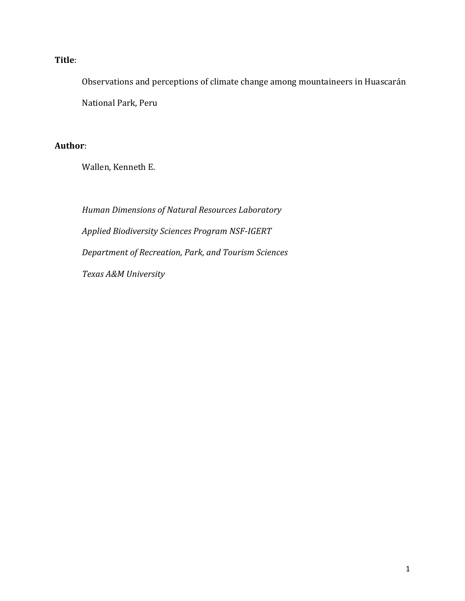### **Title**:

Observations and perceptions of climate change among mountaineers in Huascarán National Park, Peru

### **Author**:

Wallen, Kenneth E.

*Human Dimensions of Natural Resources Laboratory Applied Biodiversity Sciences Program NSF-IGERT Department of Recreation, Park, and Tourism Sciences Texas A&M University*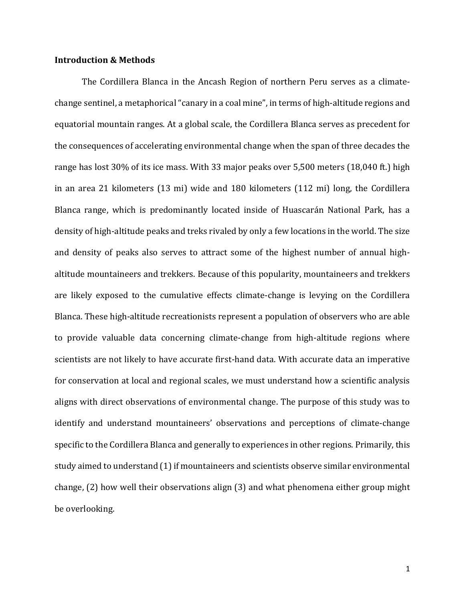#### **Introduction & Methods**

The Cordillera Blanca in the Ancash Region of northern Peru serves as a climatechange sentinel, a metaphorical "canary in a coal mine", in terms of high-altitude regions and equatorial mountain ranges. At a global scale, the Cordillera Blanca serves as precedent for the consequences of accelerating environmental change when the span of three decades the range has lost 30% of its ice mass. With 33 major peaks over 5,500 meters (18,040 ft.) high in an area 21 kilometers (13 mi) wide and 180 kilometers (112 mi) long, the Cordillera Blanca range, which is predominantly located inside of Huascarán National Park, has a density of high-altitude peaks and treks rivaled by only a few locations in the world. The size and density of peaks also serves to attract some of the highest number of annual highaltitude mountaineers and trekkers. Because of this popularity, mountaineers and trekkers are likely exposed to the cumulative effects climate-change is levying on the Cordillera Blanca. These high-altitude recreationists represent a population of observers who are able to provide valuable data concerning climate-change from high-altitude regions where scientists are not likely to have accurate first-hand data. With accurate data an imperative for conservation at local and regional scales, we must understand how a scientific analysis aligns with direct observations of environmental change. The purpose of this study was to identify and understand mountaineers' observations and perceptions of climate-change specific to the Cordillera Blanca and generally to experiences in other regions. Primarily, this study aimed to understand (1) if mountaineers and scientists observe similar environmental change, (2) how well their observations align (3) and what phenomena either group might be overlooking.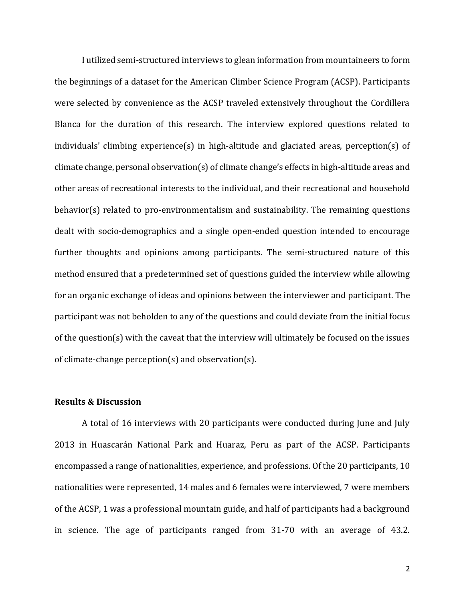I utilized semi-structured interviews to glean information from mountaineers to form the beginnings of a dataset for the American Climber Science Program (ACSP). Participants were selected by convenience as the ACSP traveled extensively throughout the Cordillera Blanca for the duration of this research. The interview explored questions related to individuals' climbing experience(s) in high-altitude and glaciated areas, perception(s) of climate change, personal observation(s) of climate change's effects in high-altitude areas and other areas of recreational interests to the individual, and their recreational and household behavior(s) related to pro-environmentalism and sustainability. The remaining questions dealt with socio-demographics and a single open-ended question intended to encourage further thoughts and opinions among participants. The semi-structured nature of this method ensured that a predetermined set of questions guided the interview while allowing for an organic exchange of ideas and opinions between the interviewer and participant. The participant was not beholden to any of the questions and could deviate from the initial focus of the question(s) with the caveat that the interview will ultimately be focused on the issues of climate-change perception(s) and observation(s).

#### **Results & Discussion**

A total of 16 interviews with 20 participants were conducted during June and July 2013 in Huascarán National Park and Huaraz, Peru as part of the ACSP. Participants encompassed a range of nationalities, experience, and professions. Of the 20 participants, 10 nationalities were represented, 14 males and 6 females were interviewed, 7 were members of the ACSP, 1 was a professional mountain guide, and half of participants had a background in science. The age of participants ranged from 31-70 with an average of 43.2.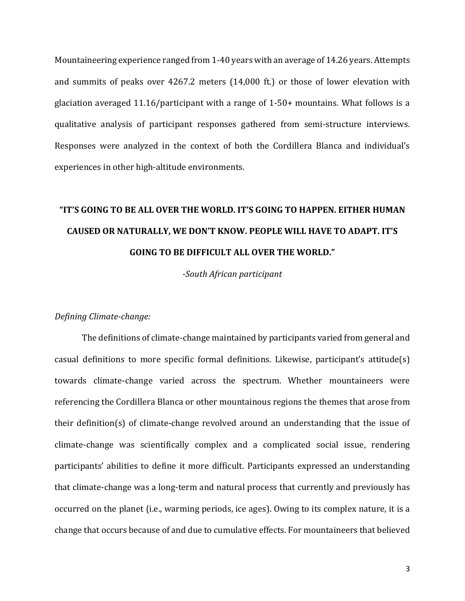Mountaineering experience ranged from 1-40 years with an average of 14.26 years. Attempts and summits of peaks over 4267.2 meters (14,000 ft.) or those of lower elevation with glaciation averaged 11.16/participant with a range of 1-50+ mountains. What follows is a qualitative analysis of participant responses gathered from semi-structure interviews. Responses were analyzed in the context of both the Cordillera Blanca and individual's experiences in other high-altitude environments.

# **"IT'S GOING TO BE ALL OVER THE WORLD. IT'S GOING TO HAPPEN. EITHER HUMAN CAUSED OR NATURALLY, WE DON'T KNOW. PEOPLE WILL HAVE TO ADAPT. IT'S GOING TO BE DIFFICULT ALL OVER THE WORLD."**

*-South African participant*

#### *Defining Climate-change:*

The definitions of climate-change maintained by participants varied from general and casual definitions to more specific formal definitions. Likewise, participant's attitude(s) towards climate-change varied across the spectrum. Whether mountaineers were referencing the Cordillera Blanca or other mountainous regions the themes that arose from their definition(s) of climate-change revolved around an understanding that the issue of climate-change was scientifically complex and a complicated social issue, rendering participants' abilities to define it more difficult. Participants expressed an understanding that climate-change was a long-term and natural process that currently and previously has occurred on the planet (i.e., warming periods, ice ages). Owing to its complex nature, it is a change that occurs because of and due to cumulative effects. For mountaineers that believed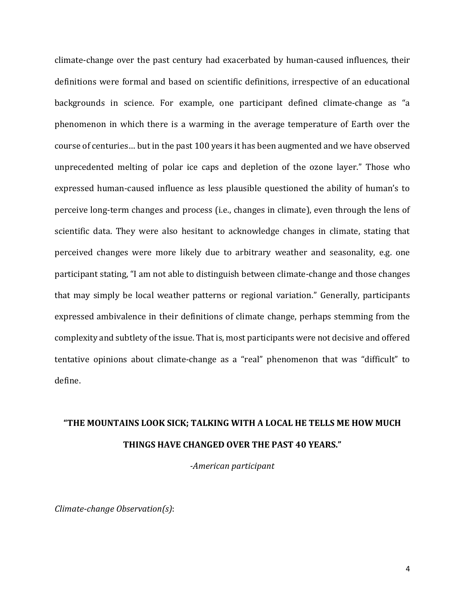climate-change over the past century had exacerbated by human-caused influences, their definitions were formal and based on scientific definitions, irrespective of an educational backgrounds in science. For example, one participant defined climate-change as "a phenomenon in which there is a warming in the average temperature of Earth over the course of centuries… but in the past 100 years it has been augmented and we have observed unprecedented melting of polar ice caps and depletion of the ozone layer." Those who expressed human-caused influence as less plausible questioned the ability of human's to perceive long-term changes and process (i.e., changes in climate), even through the lens of scientific data. They were also hesitant to acknowledge changes in climate, stating that perceived changes were more likely due to arbitrary weather and seasonality, e.g. one participant stating, "I am not able to distinguish between climate-change and those changes that may simply be local weather patterns or regional variation." Generally, participants expressed ambivalence in their definitions of climate change, perhaps stemming from the complexity and subtlety of the issue. That is, most participants were not decisive and offered tentative opinions about climate-change as a "real" phenomenon that was "difficult" to define.

## **"THE MOUNTAINS LOOK SICK; TALKING WITH A LOCAL HE TELLS ME HOW MUCH THINGS HAVE CHANGED OVER THE PAST 40 YEARS."**

*-American participant*

*Climate-change Observation(s)*: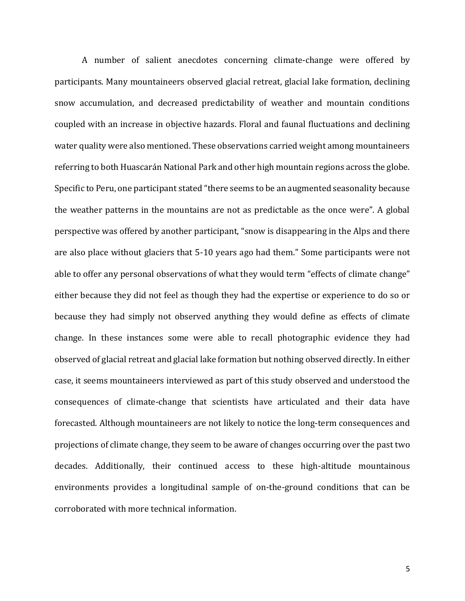A number of salient anecdotes concerning climate-change were offered by participants. Many mountaineers observed glacial retreat, glacial lake formation, declining snow accumulation, and decreased predictability of weather and mountain conditions coupled with an increase in objective hazards. Floral and faunal fluctuations and declining water quality were also mentioned. These observations carried weight among mountaineers referring to both Huascarán National Park and other high mountain regions across the globe. Specific to Peru, one participant stated "there seems to be an augmented seasonality because the weather patterns in the mountains are not as predictable as the once were". A global perspective was offered by another participant, "snow is disappearing in the Alps and there are also place without glaciers that 5-10 years ago had them." Some participants were not able to offer any personal observations of what they would term "effects of climate change" either because they did not feel as though they had the expertise or experience to do so or because they had simply not observed anything they would define as effects of climate change. In these instances some were able to recall photographic evidence they had observed of glacial retreat and glacial lake formation but nothing observed directly. In either case, it seems mountaineers interviewed as part of this study observed and understood the consequences of climate-change that scientists have articulated and their data have forecasted. Although mountaineers are not likely to notice the long-term consequences and projections of climate change, they seem to be aware of changes occurring over the past two decades. Additionally, their continued access to these high-altitude mountainous environments provides a longitudinal sample of on-the-ground conditions that can be corroborated with more technical information.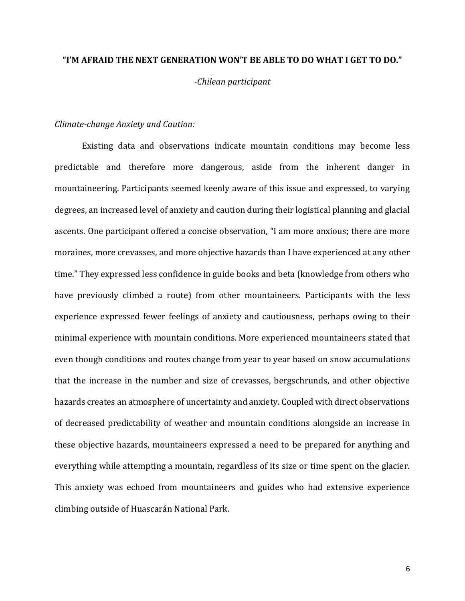#### **"I'M AFRAID THE NEXT GENERATION WON'T BE ABLE TO DO WHAT I GET TO DO."**

*-Chilean participant*

#### *Climate-change Anxiety and Caution:*

Existing data and observations indicate mountain conditions may become less predictable and therefore more dangerous, aside from the inherent danger in mountaineering. Participants seemed keenly aware of this issue and expressed, to varying degrees, an increased level of anxiety and caution during their logistical planning and glacial ascents. One participant offered a concise observation, "I am more anxious; there are more moraines, more crevasses, and more objective hazards than I have experienced at any other time." They expressed less confidence in guide books and beta (knowledge from others who have previously climbed a route) from other mountaineers. Participants with the less experience expressed fewer feelings of anxiety and cautiousness, perhaps owing to their minimal experience with mountain conditions. More experienced mountaineers stated that even though conditions and routes change from year to year based on snow accumulations that the increase in the number and size of crevasses, bergschrunds, and other objective hazards creates an atmosphere of uncertainty and anxiety. Coupled with direct observations of decreased predictability of weather and mountain conditions alongside an increase in these objective hazards, mountaineers expressed a need to be prepared for anything and everything while attempting a mountain, regardless of its size or time spent on the glacier. This anxiety was echoed from mountaineers and guides who had extensive experience climbing outside of Huascarán National Park.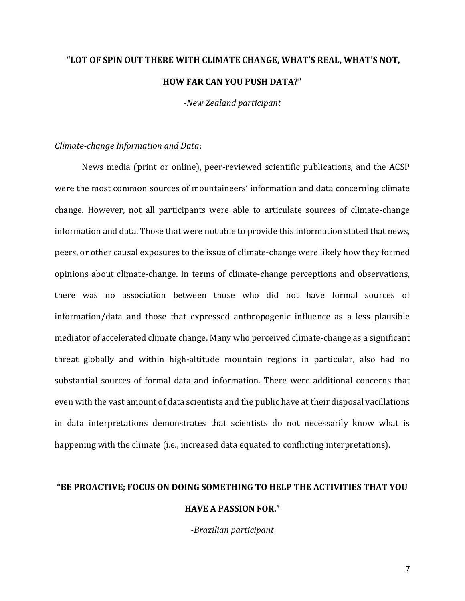## **"LOT OF SPIN OUT THERE WITH CLIMATE CHANGE, WHAT'S REAL, WHAT'S NOT, HOW FAR CAN YOU PUSH DATA?"**

*-New Zealand participant*

#### *Climate-change Information and Data*:

News media (print or online), peer-reviewed scientific publications, and the ACSP were the most common sources of mountaineers' information and data concerning climate change. However, not all participants were able to articulate sources of climate-change information and data. Those that were not able to provide this information stated that news, peers, or other causal exposures to the issue of climate-change were likely how they formed opinions about climate-change. In terms of climate-change perceptions and observations, there was no association between those who did not have formal sources of information/data and those that expressed anthropogenic influence as a less plausible mediator of accelerated climate change. Many who perceived climate-change as a significant threat globally and within high-altitude mountain regions in particular, also had no substantial sources of formal data and information. There were additional concerns that even with the vast amount of data scientists and the public have at their disposal vacillations in data interpretations demonstrates that scientists do not necessarily know what is happening with the climate (i.e., increased data equated to conflicting interpretations).

### **"BE PROACTIVE; FOCUS ON DOING SOMETHING TO HELP THE ACTIVITIES THAT YOU HAVE A PASSION FOR."**

*-Brazilian participant*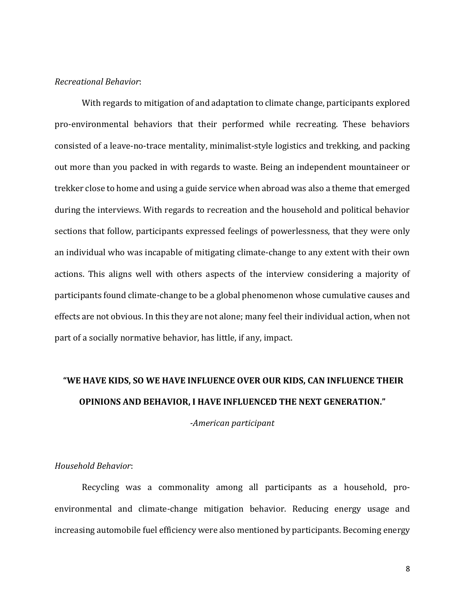#### *Recreational Behavior*:

With regards to mitigation of and adaptation to climate change, participants explored pro-environmental behaviors that their performed while recreating. These behaviors consisted of a leave-no-trace mentality, minimalist-style logistics and trekking, and packing out more than you packed in with regards to waste. Being an independent mountaineer or trekker close to home and using a guide service when abroad was also a theme that emerged during the interviews. With regards to recreation and the household and political behavior sections that follow, participants expressed feelings of powerlessness, that they were only an individual who was incapable of mitigating climate-change to any extent with their own actions. This aligns well with others aspects of the interview considering a majority of participants found climate-change to be a global phenomenon whose cumulative causes and effects are not obvious. In this they are not alone; many feel their individual action, when not part of a socially normative behavior, has little, if any, impact.

### **"WE HAVE KIDS, SO WE HAVE INFLUENCE OVER OUR KIDS, CAN INFLUENCE THEIR OPINIONS AND BEHAVIOR, I HAVE INFLUENCED THE NEXT GENERATION."**

*-American participant*

#### *Household Behavior*:

Recycling was a commonality among all participants as a household, proenvironmental and climate-change mitigation behavior. Reducing energy usage and increasing automobile fuel efficiency were also mentioned by participants. Becoming energy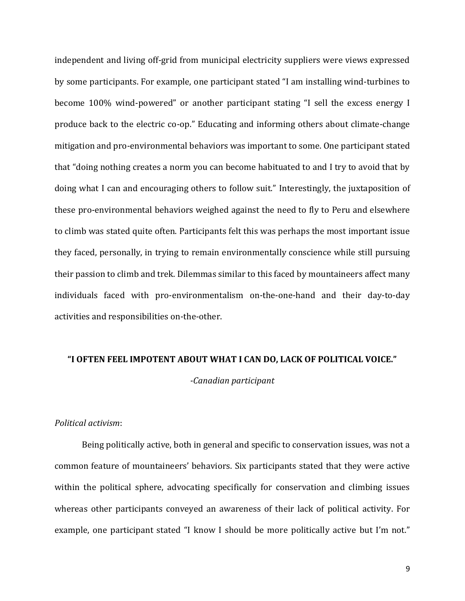independent and living off-grid from municipal electricity suppliers were views expressed by some participants. For example, one participant stated "I am installing wind-turbines to become 100% wind-powered" or another participant stating "I sell the excess energy I produce back to the electric co-op." Educating and informing others about climate-change mitigation and pro-environmental behaviors was important to some. One participant stated that "doing nothing creates a norm you can become habituated to and I try to avoid that by doing what I can and encouraging others to follow suit." Interestingly, the juxtaposition of these pro-environmental behaviors weighed against the need to fly to Peru and elsewhere to climb was stated quite often. Participants felt this was perhaps the most important issue they faced, personally, in trying to remain environmentally conscience while still pursuing their passion to climb and trek. Dilemmas similar to this faced by mountaineers affect many individuals faced with pro-environmentalism on-the-one-hand and their day-to-day activities and responsibilities on-the-other.

#### **"I OFTEN FEEL IMPOTENT ABOUT WHAT I CAN DO, LACK OF POLITICAL VOICE."**

*-Canadian participant*

#### *Political activism*:

Being politically active, both in general and specific to conservation issues, was not a common feature of mountaineers' behaviors. Six participants stated that they were active within the political sphere, advocating specifically for conservation and climbing issues whereas other participants conveyed an awareness of their lack of political activity. For example, one participant stated "I know I should be more politically active but I'm not."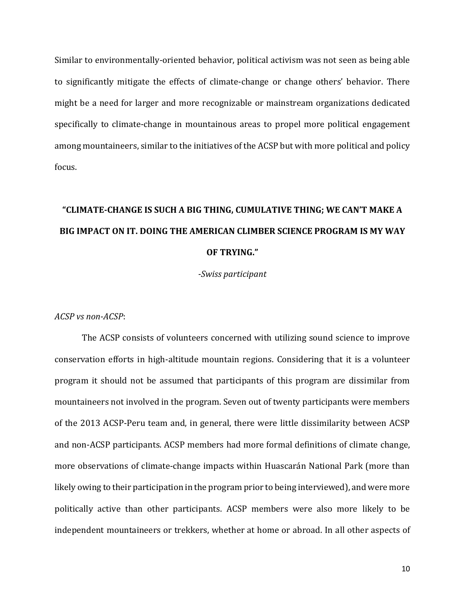Similar to environmentally-oriented behavior, political activism was not seen as being able to significantly mitigate the effects of climate-change or change others' behavior. There might be a need for larger and more recognizable or mainstream organizations dedicated specifically to climate-change in mountainous areas to propel more political engagement among mountaineers, similar to the initiatives of the ACSP but with more political and policy focus.

# **"CLIMATE-CHANGE IS SUCH A BIG THING, CUMULATIVE THING; WE CAN'T MAKE A BIG IMPACT ON IT. DOING THE AMERICAN CLIMBER SCIENCE PROGRAM IS MY WAY OF TRYING."**

*-Swiss participant*

*ACSP vs non-ACSP*:

The ACSP consists of volunteers concerned with utilizing sound science to improve conservation efforts in high-altitude mountain regions. Considering that it is a volunteer program it should not be assumed that participants of this program are dissimilar from mountaineers not involved in the program. Seven out of twenty participants were members of the 2013 ACSP-Peru team and, in general, there were little dissimilarity between ACSP and non-ACSP participants. ACSP members had more formal definitions of climate change, more observations of climate-change impacts within Huascarán National Park (more than likely owing to their participation in the program prior to being interviewed), and were more politically active than other participants. ACSP members were also more likely to be independent mountaineers or trekkers, whether at home or abroad. In all other aspects of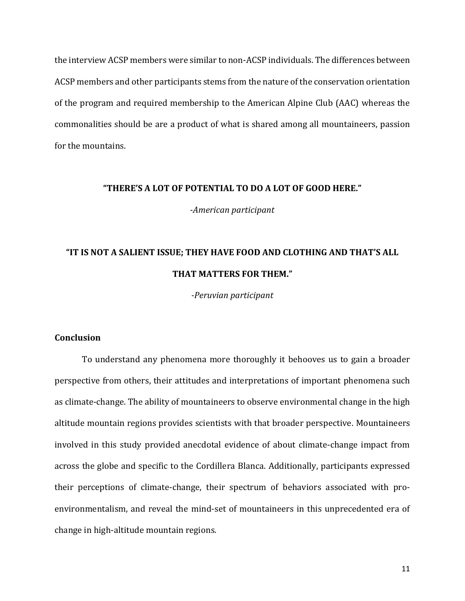the interview ACSP members were similar to non-ACSP individuals. The differences between ACSP members and other participants stems from the nature of the conservation orientation of the program and required membership to the American Alpine Club (AAC) whereas the commonalities should be are a product of what is shared among all mountaineers, passion for the mountains.

#### **"THERE'S A LOT OF POTENTIAL TO DO A LOT OF GOOD HERE."**

*-American participant*

### **"IT IS NOT A SALIENT ISSUE; THEY HAVE FOOD AND CLOTHING AND THAT'S ALL THAT MATTERS FOR THEM."**

*-Peruvian participant*

#### **Conclusion**

To understand any phenomena more thoroughly it behooves us to gain a broader perspective from others, their attitudes and interpretations of important phenomena such as climate-change. The ability of mountaineers to observe environmental change in the high altitude mountain regions provides scientists with that broader perspective. Mountaineers involved in this study provided anecdotal evidence of about climate-change impact from across the globe and specific to the Cordillera Blanca. Additionally, participants expressed their perceptions of climate-change, their spectrum of behaviors associated with proenvironmentalism, and reveal the mind-set of mountaineers in this unprecedented era of change in high-altitude mountain regions.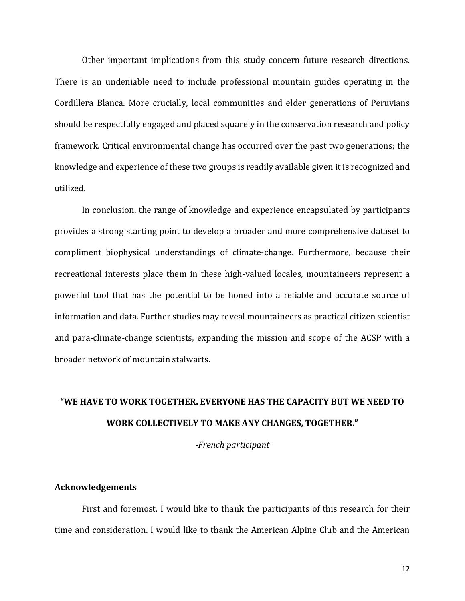Other important implications from this study concern future research directions. There is an undeniable need to include professional mountain guides operating in the Cordillera Blanca. More crucially, local communities and elder generations of Peruvians should be respectfully engaged and placed squarely in the conservation research and policy framework. Critical environmental change has occurred over the past two generations; the knowledge and experience of these two groups is readily available given it is recognized and utilized.

In conclusion, the range of knowledge and experience encapsulated by participants provides a strong starting point to develop a broader and more comprehensive dataset to compliment biophysical understandings of climate-change. Furthermore, because their recreational interests place them in these high-valued locales, mountaineers represent a powerful tool that has the potential to be honed into a reliable and accurate source of information and data. Further studies may reveal mountaineers as practical citizen scientist and para-climate-change scientists, expanding the mission and scope of the ACSP with a broader network of mountain stalwarts.

### **"WE HAVE TO WORK TOGETHER. EVERYONE HAS THE CAPACITY BUT WE NEED TO WORK COLLECTIVELY TO MAKE ANY CHANGES, TOGETHER."**

*-French participant*

#### **Acknowledgements**

First and foremost, I would like to thank the participants of this research for their time and consideration. I would like to thank the American Alpine Club and the American